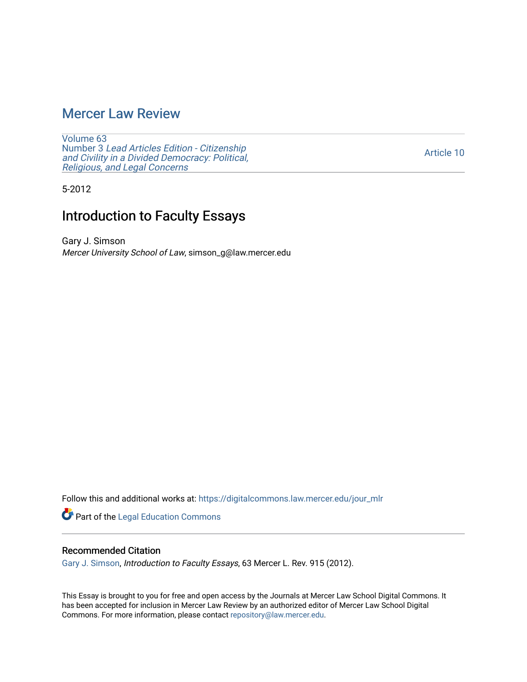# [Mercer Law Review](https://digitalcommons.law.mercer.edu/jour_mlr)

[Volume 63](https://digitalcommons.law.mercer.edu/jour_mlr/vol63) Number 3 [Lead Articles Edition - Citizenship](https://digitalcommons.law.mercer.edu/jour_mlr/vol63/iss3)  [and Civility in a Divided Democracy: Political,](https://digitalcommons.law.mercer.edu/jour_mlr/vol63/iss3)  [Religious, and Legal Concerns](https://digitalcommons.law.mercer.edu/jour_mlr/vol63/iss3)

[Article 10](https://digitalcommons.law.mercer.edu/jour_mlr/vol63/iss3/10) 

5-2012

# Introduction to Faculty Essays

Gary J. Simson Mercer University School of Law, simson\_g@law.mercer.edu

Follow this and additional works at: [https://digitalcommons.law.mercer.edu/jour\\_mlr](https://digitalcommons.law.mercer.edu/jour_mlr?utm_source=digitalcommons.law.mercer.edu%2Fjour_mlr%2Fvol63%2Fiss3%2F10&utm_medium=PDF&utm_campaign=PDFCoverPages)

Part of the [Legal Education Commons](http://network.bepress.com/hgg/discipline/857?utm_source=digitalcommons.law.mercer.edu%2Fjour_mlr%2Fvol63%2Fiss3%2F10&utm_medium=PDF&utm_campaign=PDFCoverPages) 

### Recommended Citation

[Gary J. Simson](https://guides.law.mercer.edu/simson), Introduction to Faculty Essays, 63 Mercer L. Rev. 915 (2012).

This Essay is brought to you for free and open access by the Journals at Mercer Law School Digital Commons. It has been accepted for inclusion in Mercer Law Review by an authorized editor of Mercer Law School Digital Commons. For more information, please contact [repository@law.mercer.edu.](mailto:repository@law.mercer.edu)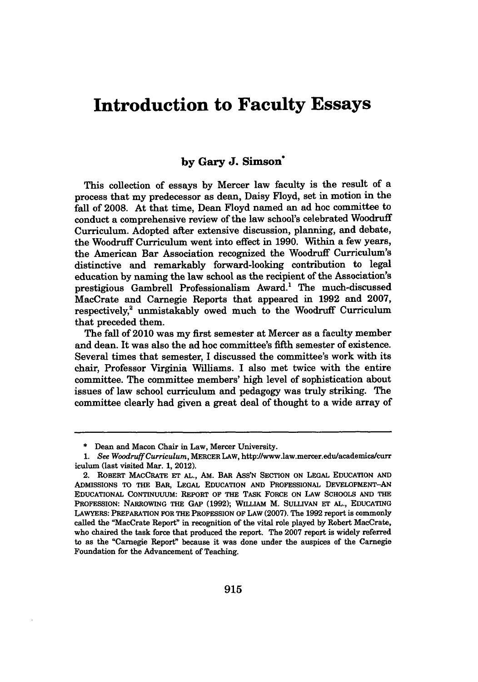# **Introduction to Faculty Essays**

#### **by Gary J. Simson\***

This collection of essays **by** Mercer law faculty is the result of a process that my predecessor as dean, Daisy Floyd, set in motion in the fall of **2008.** At that time, Dean Floyd named an ad hoc committee to conduct a comprehensive review of the law school's celebrated Woodruff Curriculum. Adopted after extensive discussion, planning, and debate, the Woodruff Curriculum went into effect in **1990.** Within a few years, the American Bar Association recognized the Woodruff Curriculum's distinctive and remarkably forward-looking contribution to legal education **by** naming the law school as the recipient of the Association's prestigious Gambrell Professionalism Award.' The much-discussed MacCrate and Carnegie Reports that appeared in **1992** and **2007,** respectively,<sup>2</sup> unmistakably owed much to the Woodruff Curriculum that preceded them.

The fall of 2010 was my first semester at Mercer as a faculty member and dean. It was also the ad hoc committee's fifth semester of existence. Several times that semester, I discussed the committee's work with its chair, Professor Virginia Williams. I also met twice with the entire committee. The committee members' high level of sophistication about issues of law school curriculum and pedagogy was truly striking. The committee clearly had given a great deal of thought to a wide array of

**<sup>\*</sup>** Dean and Macon Chair in Law, Mercer University.

*<sup>1.</sup> See Woodruff Curriculum,* MERCER **LAW,** http://www.law.mercer.edu/academics/curr iculum (last visited Mar. **1,** 2012).

<sup>2.</sup> ROBERT MACCRATE **ET AL.,** *AM.* BAR Ass'N **SECTION ON LEGAL** EDUCATION **AND** ADMISSIONs TO **THE** BAR, **LEGAL EDUCATION** AND PROFESSIONAL DEVELOPMENT-AN **EDUCATIONAL** CoNTINUuuM: REPORT OF THE TASK FORCE ON LAW **SCHOOLS AND** THE PROFESSION: NARROWING **THE GAP (1992);** WILLIAM M. SULLIVAN **ET AL., EDUCATING** LAWYERS: PREPARATION FOR THE PROFESSION OF LAW **(2007).** The **1992** report is commonly called the "MacCrate Report" in recognition of the vital role played **by** Robert MacCrate, who chaired the task force that produced the report. The **2007** report is widely referred to as the "Carnegie Report" because it was done under the auspices of the Carnegie Foundation for the Advancement of Teaching.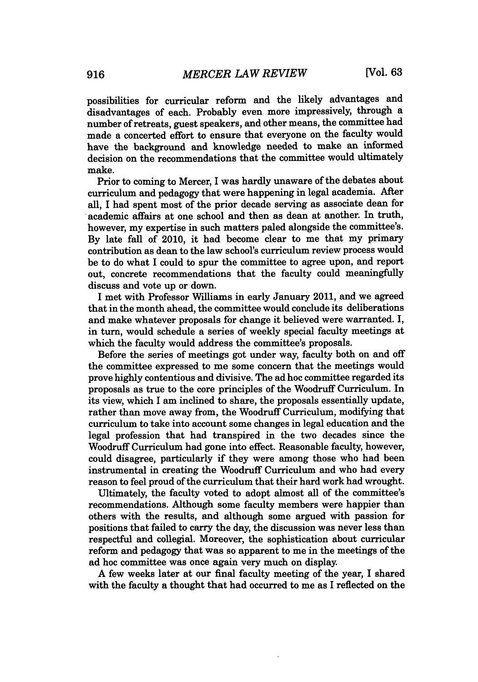possibilities for curricular reform and the likely advantages and disadvantages of each. Probably even more impressively, through a number of retreats, guest speakers, and other means, the committee had made a concerted effort to ensure that everyone on the faculty would have the background and knowledge needed to make an informed decision on the recommendations that the committee would ultimately make.

Prior to coming to Mercer, I was hardly unaware of the debates about curriculum and pedagogy that were happening in legal academia. After all, I had spent most of the prior decade serving as associate dean for academic affairs at one school and then as dean at another. In truth, however, my expertise in such matters paled alongside the committee's. **By** late fall of 2010, it had become clear to me that my primary contribution as dean to the law school's curriculum review process would be to do what **I** could to spur the committee to agree upon, and report out, concrete recommendations that the faculty could meaningfully discuss and vote up or down.

I met with Professor Williams in early January 2011, and we agreed that in the month ahead, the committee would conclude its deliberations and make whatever proposals for change it believed were warranted. I, in turn, would schedule a series of weekly special faculty meetings at which the faculty would address the committee's proposals.

Before the series of meetings got under way, faculty both on and off the committee expressed to me some concern that the meetings would prove **highly** contentious and divisive. The ad hoc committee regarded its proposals as true to the core principles of the Woodruff Curriculum. In its view, which I am inclined to share, the proposals essentially update, rather than move away from, the Woodruff Curriculum, modifying that curriculum to take into account some changes in legal education and the legal profession that had transpired in the two decades since the Woodruff Curriculum had gone into effect. Reasonable faculty, however, could disagree, particularly if they were among those who had been instrumental in creating the Woodruff Curriculum and who had every reason to feel proud of the curriculum that their hard work had wrought.

Ultimately, the faculty voted to adopt almost all of the committee's recommendations. Although some faculty members were happier than others with the results, and although some argued with passion for positions that failed to carry the day, the discussion was never less than respectful and collegial. Moreover, the sophistication about curricular reform and pedagogy that was so apparent to me in the meetings of the ad hoc committee was once again very much on display.

**A** few weeks later at our final faculty meeting of the year, I shared with the faculty a thought that had occurred to me as I reflected on the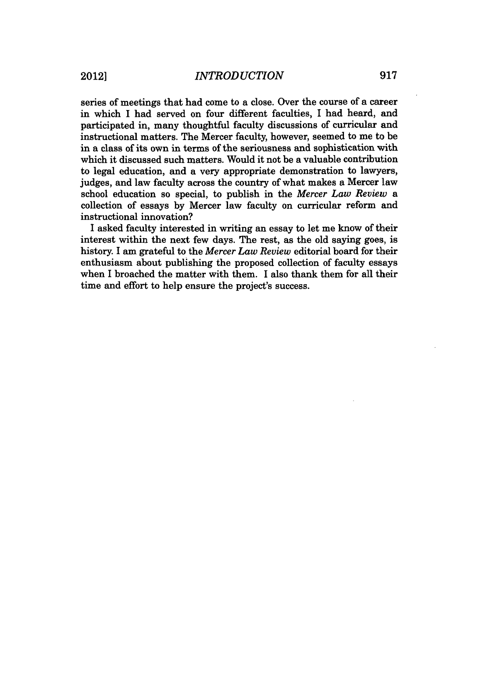series of meetings that had come to a close. Over the course of a career in which I had served on four different faculties, I had heard, and participated in, many thoughtful faculty discussions of curricular and instructional matters. The Mercer faculty, however, seemed to me to be in a class of its own in terms of the seriousness and sophistication with which it discussed such matters. Would it not be a valuable contribution to legal education, and a very appropriate demonstration to lawyers, judges, and law faculty across the country of what makes a Mercer law school education so special, to publish in the *Mercer Law Review* a collection of essays **by** Mercer law faculty on curricular reform and instructional innovation?

I asked faculty interested in writing an essay to let me know of their interest within the next few days. The rest, as the old saying goes, is history. I am grateful to the *Mercer Law Review* editorial board for their enthusiasm about publishing the proposed collection of faculty essays when I broached the matter with them. I also thank them for all their time and effort to help ensure the project's success.